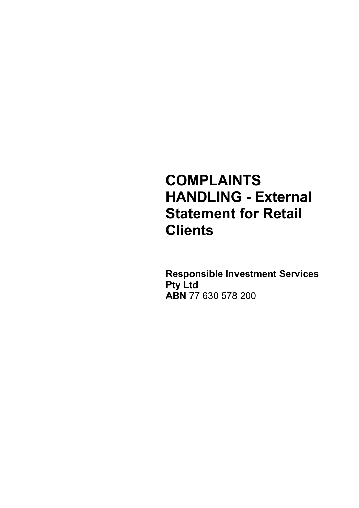# **COMPLAINTS HANDLING - External Statement for Retail Clients**

**Responsible Investment Services Pty Ltd ABN** 77 630 578 200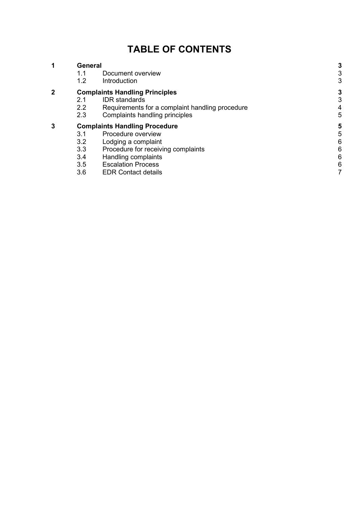# **TABLE OF CONTENTS**

| 1 | General                               |                                                 |  |
|---|---------------------------------------|-------------------------------------------------|--|
|   | 1.1                                   | Document overview                               |  |
|   | 1.2                                   | Introduction                                    |  |
| 2 | <b>Complaints Handling Principles</b> |                                                 |  |
|   | 2.1                                   | <b>IDR</b> standards                            |  |
|   | 2.2                                   | Requirements for a complaint handling procedure |  |
|   | 2.3                                   | Complaints handling principles                  |  |
| 3 | <b>Complaints Handling Procedure</b>  |                                                 |  |
|   | 3.1                                   | Procedure overview                              |  |
|   | 3.2                                   | Lodging a complaint                             |  |
|   | 3.3                                   | Procedure for receiving complaints              |  |
|   | 3.4                                   | Handling complaints                             |  |
|   | <u>^ F</u>                            | F. I D.                                         |  |

- 3.5 [Escalation Process](#page-5-3)<br>3.6 EDR Contact details
- [EDR Contact details](#page-6-0)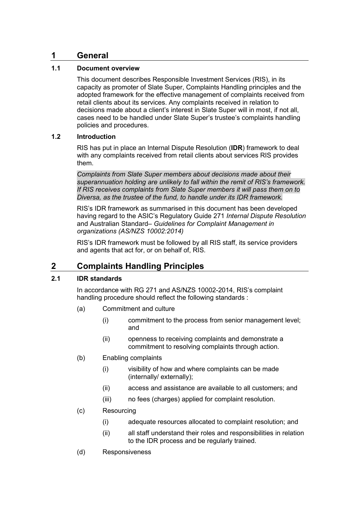## <span id="page-2-0"></span>**1 General**

#### <span id="page-2-1"></span>**1.1 Document overview**

This document describes Responsible Investment Services (RIS), in its capacity as promoter of Slate Super, Complaints Handling principles and the adopted framework for the effective management of complaints received from retail clients about its services. Any complaints received in relation to decisions made about a client's interest in Slate Super will in most, if not all, cases need to be handled under Slate Super's trustee's complaints handling policies and procedures.

#### <span id="page-2-2"></span>**1.2 Introduction**

RIS has put in place an Internal Dispute Resolution (**IDR**) framework to deal with any complaints received from retail clients about services RIS provides them.

*Complaints from Slate Super members about decisions made about their superannuation holding are unlikely to fall within the remit of RIS's framework. If RIS receives complaints from Slate Super members it will pass them on to Diversa, as the trustee of the fund, to handle under its IDR framework.* 

RIS's IDR framework as summarised in this document has been developed having regard to the ASIC's Regulatory Guide 271 *Internal Dispute Resolution* and Australian Standard*– Guidelines for Complaint Management in organizations (AS/NZS 10002:2014)*

RIS's IDR framework must be followed by all RIS staff, its service providers and agents that act for, or on behalf of, RIS.

# <span id="page-2-3"></span>**2 Complaints Handling Principles**

#### <span id="page-2-4"></span>**2.1 IDR standards**

In accordance with RG 271 and AS/NZS 10002-2014, RIS's complaint handling procedure should reflect the following standards :

- (a) Commitment and culture
	- (i) commitment to the process from senior management level; and
	- (ii) openness to receiving complaints and demonstrate a commitment to resolving complaints through action.
- (b) Enabling complaints
	- (i) visibility of how and where complaints can be made (internally/ externally);
	- (ii) access and assistance are available to all customers; and
	- (iii) no fees (charges) applied for complaint resolution.
- (c) Resourcing
	- (i) adequate resources allocated to complaint resolution; and
	- (ii) all staff understand their roles and responsibilities in relation to the IDR process and be regularly trained.
- (d) Responsiveness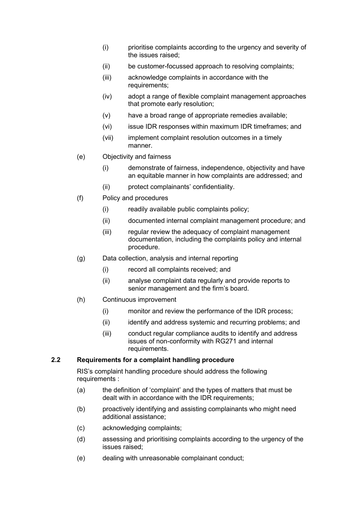- (i) prioritise complaints according to the urgency and severity of the issues raised;
- (ii) be customer-focussed approach to resolving complaints;
- (iii) acknowledge complaints in accordance with the requirements;
- (iv) adopt a range of flexible complaint management approaches that promote early resolution;
- (v) have a broad range of appropriate remedies available;
- (vi) issue IDR responses within maximum IDR timeframes; and
- (vii) implement complaint resolution outcomes in a timely manner.
- (e) Objectivity and fairness
	- (i) demonstrate of fairness, independence, objectivity and have an equitable manner in how complaints are addressed; and
	- (ii) protect complainants' confidentiality.
- (f) Policy and procedures
	- (i) readily available public complaints policy;
	- (ii) documented internal complaint management procedure; and
	- (iii) regular review the adequacy of complaint management documentation, including the complaints policy and internal procedure.
- (g) Data collection, analysis and internal reporting
	- (i) record all complaints received; and
	- (ii) analyse complaint data regularly and provide reports to senior management and the firm's board.
- (h) Continuous improvement
	- (i) monitor and review the performance of the IDR process;
	- (ii) identify and address systemic and recurring problems; and
	- (iii) conduct regular compliance audits to identify and address issues of non-conformity with RG271 and internal requirements.

#### <span id="page-3-0"></span>**2.2 Requirements for a complaint handling procedure**

RIS's complaint handling procedure should address the following requirements :

- (a) the definition of 'complaint' and the types of matters that must be dealt with in accordance with the IDR requirements;
- (b) proactively identifying and assisting complainants who might need additional assistance;
- (c) acknowledging complaints;
- (d) assessing and prioritising complaints according to the urgency of the issues raised;
- (e) dealing with unreasonable complainant conduct;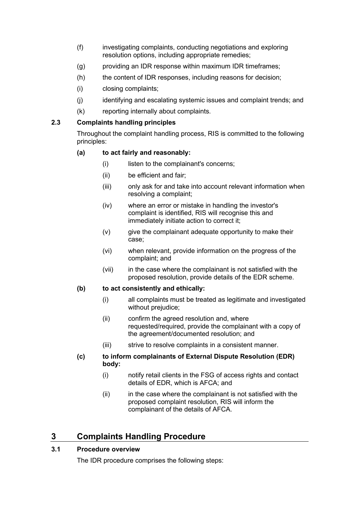- (f) investigating complaints, conducting negotiations and exploring resolution options, including appropriate remedies;
- (g) providing an IDR response within maximum IDR timeframes;
- (h) the content of IDR responses, including reasons for decision;
- (i) closing complaints;
- (j) identifying and escalating systemic issues and complaint trends; and
- (k) reporting internally about complaints.

#### <span id="page-4-0"></span>**2.3 Complaints handling principles**

Throughout the complaint handling process, RIS is committed to the following principles:

#### **(a) to act fairly and reasonably:**

- (i) listen to the complainant's concerns:
- (ii) be efficient and fair;
- (iii) only ask for and take into account relevant information when resolving a complaint;
- (iv) where an error or mistake in handling the investor's complaint is identified, RIS will recognise this and immediately initiate action to correct it;
- (v) give the complainant adequate opportunity to make their case;
- (vi) when relevant, provide information on the progress of the complaint; and
- (vii) in the case where the complainant is not satisfied with the proposed resolution, provide details of the EDR scheme.

#### **(b) to act consistently and ethically:**

- (i) all complaints must be treated as legitimate and investigated without prejudice;
- (ii) confirm the agreed resolution and, where requested/required, provide the complainant with a copy of the agreement/documented resolution; and
- (iii) strive to resolve complaints in a consistent manner.

#### **(c) to inform complainants of External Dispute Resolution (EDR) body:**

- (i) notify retail clients in the FSG of access rights and contact details of EDR, which is AFCA; and
- $(ii)$  in the case where the complainant is not satisfied with the proposed complaint resolution, RIS will inform the complainant of the details of AFCA.

# <span id="page-4-1"></span>**3 Complaints Handling Procedure**

#### <span id="page-4-2"></span>**3.1 Procedure overview**

The IDR procedure comprises the following steps: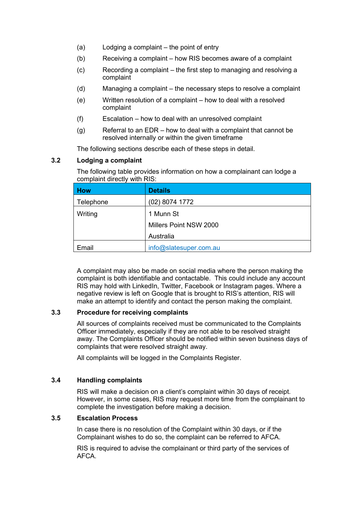- (a) Lodging a complaint the point of entry
- (b) Receiving a complaint how RIS becomes aware of a complaint
- (c) Recording a complaint the first step to managing and resolving a complaint
- (d) Managing a complaint the necessary steps to resolve a complaint
- (e) Written resolution of a complaint how to deal with a resolved complaint
- (f) Escalation how to deal with an unresolved complaint
- (g) Referral to an EDR how to deal with a complaint that cannot be resolved internally or within the given timeframe

The following sections describe each of these steps in detail.

#### <span id="page-5-0"></span>**3.2 Lodging a complaint**

The following table provides information on how a complainant can lodge a complaint directly with RIS:

| <b>How</b> | <b>Details</b>         |
|------------|------------------------|
| Telephone  | (02) 8074 1772         |
| Writing    | 1 Munn St              |
|            | Millers Point NSW 2000 |
|            | Australia              |
| Email      | info@slatesuper.com.au |

A complaint may also be made on social media where the person making the complaint is both identifiable and contactable. This could include any account RIS may hold with LinkedIn, Twitter, Facebook or Instagram pages. Where a negative review is left on Google that is brought to RIS's attention, RIS will make an attempt to identify and contact the person making the complaint.

#### <span id="page-5-1"></span>**3.3 Procedure for receiving complaints**

All sources of complaints received must be communicated to the Complaints Officer immediately, especially if they are not able to be resolved straight away. The Complaints Officer should be notified within seven business days of complaints that were resolved straight away.

All complaints will be logged in the Complaints Register.

#### <span id="page-5-2"></span>**3.4 Handling complaints**

RIS will make a decision on a client's complaint within 30 days of receipt. However, in some cases, RIS may request more time from the complainant to complete the investigation before making a decision.

#### <span id="page-5-3"></span>**3.5 Escalation Process**

In case there is no resolution of the Complaint within 30 days, or if the Complainant wishes to do so, the complaint can be referred to AFCA.

RIS is required to advise the complainant or third party of the services of AFCA.